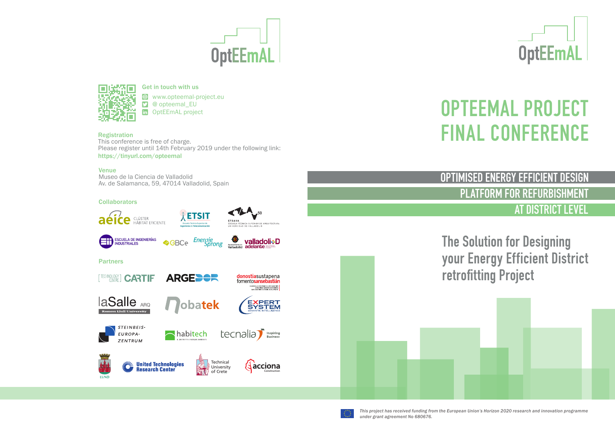# **OptEEmAL**



Get in touch with us www.opteemal-project.eu

y @ opteemal\_EU OptEEmAL project

**Registration**<br>This conference is free of charge. Please register until 14th February 2019 under the following link: https://tinyurl.com/opteemal

#### Venue

Museo de la Ciencia de Valladolid Av. de Salamanca, 59, 47014 Valladolid, Spain

#### **Collaborators**



PETSIT



ESCUELA DE INGENIERÍAS

ZENTRUM

Y

LUND



Technical University of Crete

**RAU** 

**<sup>←</sup>** valladoli⊹D

MESMPROLO ECONÓMICO DE SAN SEBASTURI<br>CONCER AND GABAPEN EXONOMIKOA<br>SAN SEBASTURI ECONOMIC DETECTMENT

**EXPERT** 

#### Partners



**United Technologies<br>Research Center** 



Construction

**A** àcciona

**OptEEmAL** 

## OPTEEMAL PROJECT **FINAL CONFERENCE**

OPTIMISED ENERGY EFFICIENT DESIGN

PLATFORM FOR REFURBISHMENT

AT DISTRICT LEVEL

The Solution for Designing your Energy Efficient District retrofitting Project

*This project has received funding from the European Union's Horizon 2020 research and innovation programme under grant agreement No 680676.*